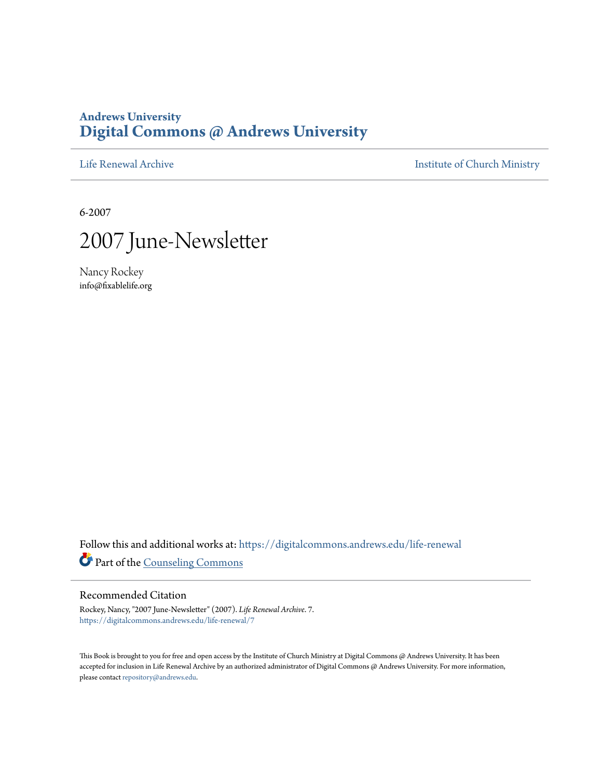### **Andrews University [Digital Commons @ Andrews University](https://digitalcommons.andrews.edu/?utm_source=digitalcommons.andrews.edu%2Flife-renewal%2F7&utm_medium=PDF&utm_campaign=PDFCoverPages)**

[Life Renewal Archive](https://digitalcommons.andrews.edu/life-renewal?utm_source=digitalcommons.andrews.edu%2Flife-renewal%2F7&utm_medium=PDF&utm_campaign=PDFCoverPages) **[Institute of Church Ministry](https://digitalcommons.andrews.edu/icm?utm_source=digitalcommons.andrews.edu%2Flife-renewal%2F7&utm_medium=PDF&utm_campaign=PDFCoverPages)** 

6-2007



Nancy Rockey info@fixablelife.org

Follow this and additional works at: [https://digitalcommons.andrews.edu/life-renewal](https://digitalcommons.andrews.edu/life-renewal?utm_source=digitalcommons.andrews.edu%2Flife-renewal%2F7&utm_medium=PDF&utm_campaign=PDFCoverPages) Part of the [Counseling Commons](http://network.bepress.com/hgg/discipline/1268?utm_source=digitalcommons.andrews.edu%2Flife-renewal%2F7&utm_medium=PDF&utm_campaign=PDFCoverPages)

#### Recommended Citation

Rockey, Nancy, "2007 June-Newsletter" (2007). *Life Renewal Archive*. 7. [https://digitalcommons.andrews.edu/life-renewal/7](https://digitalcommons.andrews.edu/life-renewal/7?utm_source=digitalcommons.andrews.edu%2Flife-renewal%2F7&utm_medium=PDF&utm_campaign=PDFCoverPages)

This Book is brought to you for free and open access by the Institute of Church Ministry at Digital Commons @ Andrews University. It has been accepted for inclusion in Life Renewal Archive by an authorized administrator of Digital Commons @ Andrews University. For more information, please contact [repository@andrews.edu.](mailto:repository@andrews.edu)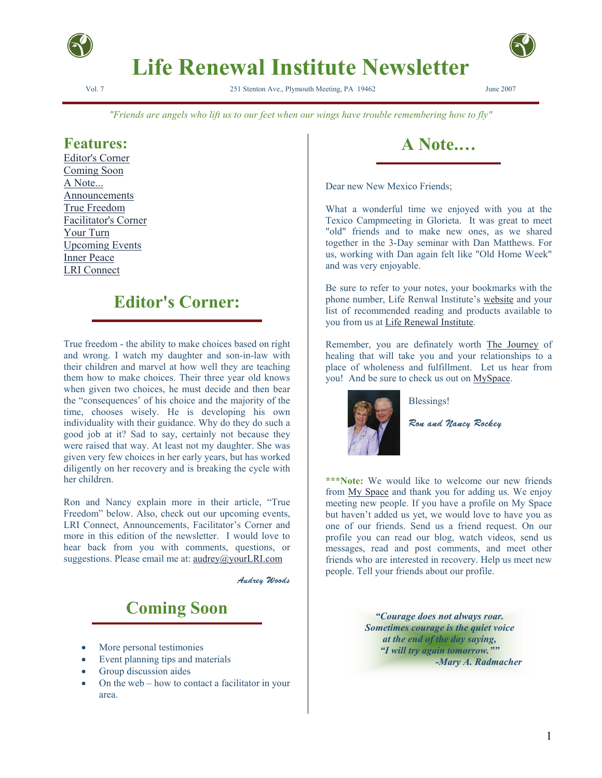

# **Life Renewal Institute Newsletter**

Vol. 7 251 Stenton Ave., Plymouth Meeting, PA 19462 June 2007



*"Friends are angels who lift us to our feet when our wings have trouble remembering how to fly"*

#### **Features:**

Editor's Corner Coming Soon A Note... Announcements True Freedom Facilitator's Corner Your Turn Upcoming Events Inner Peace LRI Connect

## **Editor's Corner:**

True freedom - the ability to make choices based on right and wrong. I watch my daughter and son-in-law with their children and marvel at how well they are teaching them how to make choices. Their three year old knows when given two choices, he must decide and then bear the "consequences' of his choice and the majority of the time, chooses wisely. He is developing his own individuality with their guidance. Why do they do such a good job at it? Sad to say, certainly not because they were raised that way. At least not my daughter. She was given very few choices in her early years, but has worked diligently on her recovery and is breaking the cycle with her children.

Ron and Nancy explain more in their article, "True Freedom" below. Also, check out our upcoming events, LRI Connect, Announcements, Facilitator's Corner and more in this edition of the newsletter. I would love to hear back from you with comments, questions, or suggestions. Please email me at: audrey@yourLRI.com

Audrey Woods

# **Coming Soon**

- More personal testimonies
- Event planning tips and materials
- Group discussion aides
- On the web how to contact a facilitator in your area.



Dear new New Mexico Friends;

What a wonderful time we enjoyed with you at the Texico Campmeeting in Glorieta. It was great to meet "old" friends and to make new ones, as we shared together in the 3-Day seminar with Dan Matthews. For us, working with Dan again felt like "Old Home Week" and was very enjoyable.

Be sure to refer to your notes, your bookmarks with the phone number, Life Renwal Institute's website and your list of recommended reading and products available to you from us at Life Renewal Institute.

Remember, you are definately worth The Journey of healing that will take you and your relationships to a place of wholeness and fulfillment. Let us hear from you! And be sure to check us out on MySpace.



Blessings!

Ron and Nancy Rockey

**\*\*\*Note:** We would like to welcome our new friends from My Space and thank you for adding us. We enjoy meeting new people. If you have a profile on My Space but haven't added us yet, we would love to have you as one of our friends. Send us a friend request. On our profile you can read our blog, watch videos, send us messages, read and post comments, and meet other friends who are interested in recovery. Help us meet new people. Tell your friends about our profile.

> *"Courage does not always roar. Sometimes courage is the quiet voice at the end of the day saying, "I will try again tomorrow."" -Mary A. Radmacher*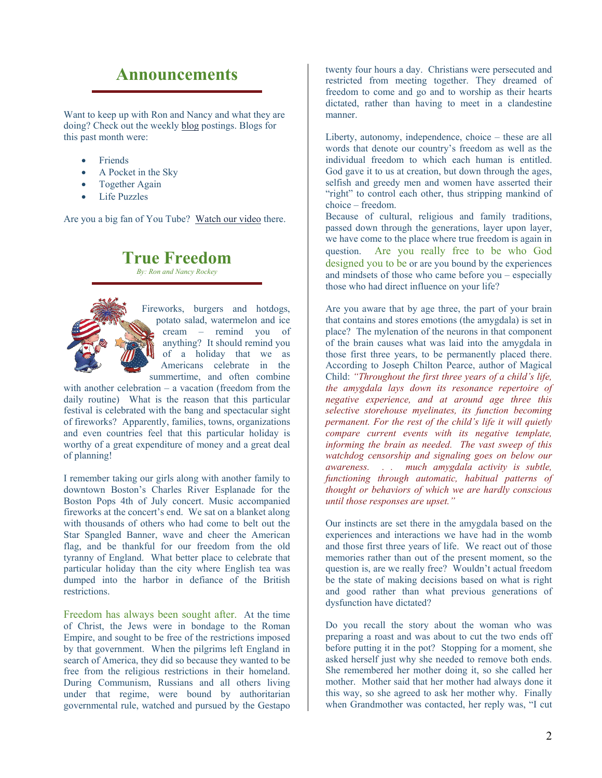#### **Announcements**

Want to keep up with Ron and Nancy and what they are doing? Check out the weekly blog postings. Blogs for this past month were:

- **Friends**
- A Pocket in the Sky
- Together Again
- Life Puzzles

Are you a big fan of You Tube? Watch our video there.

#### **True Freedom** *By: Ron and Nancy Rockey*



Fireworks, burgers and hotdogs, potato salad, watermelon and ice cream – remind you of anything? It should remind you of a holiday that we as Americans celebrate in the summertime, and often combine

with another celebration – a vacation (freedom from the daily routine) What is the reason that this particular festival is celebrated with the bang and spectacular sight of fireworks? Apparently, families, towns, organizations and even countries feel that this particular holiday is worthy of a great expenditure of money and a great deal of planning!

I remember taking our girls along with another family to downtown Boston's Charles River Esplanade for the Boston Pops 4th of July concert. Music accompanied fireworks at the concert's end. We sat on a blanket along with thousands of others who had come to belt out the Star Spangled Banner, wave and cheer the American flag, and be thankful for our freedom from the old tyranny of England. What better place to celebrate that particular holiday than the city where English tea was dumped into the harbor in defiance of the British **restrictions** 

Freedom has always been sought after. At the time of Christ, the Jews were in bondage to the Roman Empire, and sought to be free of the restrictions imposed by that government. When the pilgrims left England in search of America, they did so because they wanted to be free from the religious restrictions in their homeland. During Communism, Russians and all others living under that regime, were bound by authoritarian governmental rule, watched and pursued by the Gestapo twenty four hours a day. Christians were persecuted and restricted from meeting together. They dreamed of freedom to come and go and to worship as their hearts dictated, rather than having to meet in a clandestine manner.

Liberty, autonomy, independence, choice – these are all words that denote our country's freedom as well as the individual freedom to which each human is entitled. God gave it to us at creation, but down through the ages, selfish and greedy men and women have asserted their "right" to control each other, thus stripping mankind of choice – freedom.

Because of cultural, religious and family traditions, passed down through the generations, layer upon layer, we have come to the place where true freedom is again in question. Are you really free to be who God designed you to be or are you bound by the experiences and mindsets of those who came before you – especially those who had direct influence on your life?

Are you aware that by age three, the part of your brain that contains and stores emotions (the amygdala) is set in place? The mylenation of the neurons in that component of the brain causes what was laid into the amygdala in those first three years, to be permanently placed there. According to Joseph Chilton Pearce, author of Magical Child: *"Throughout the first three years of a child's life, the amygdala lays down its resonance repertoire of negative experience, and at around age three this selective storehouse myelinates, its function becoming permanent. For the rest of the child's life it will quietly compare current events with its negative template, informing the brain as needed. The vast sweep of this watchdog censorship and signaling goes on below our awareness. . . much amygdala activity is subtle, functioning through automatic, habitual patterns of thought or behaviors of which we are hardly conscious until those responses are upset."*

Our instincts are set there in the amygdala based on the experiences and interactions we have had in the womb and those first three years of life. We react out of those memories rather than out of the present moment, so the question is, are we really free? Wouldn't actual freedom be the state of making decisions based on what is right and good rather than what previous generations of dysfunction have dictated?

Do you recall the story about the woman who was preparing a roast and was about to cut the two ends off before putting it in the pot? Stopping for a moment, she asked herself just why she needed to remove both ends. She remembered her mother doing it, so she called her mother. Mother said that her mother had always done it this way, so she agreed to ask her mother why. Finally when Grandmother was contacted, her reply was, "I cut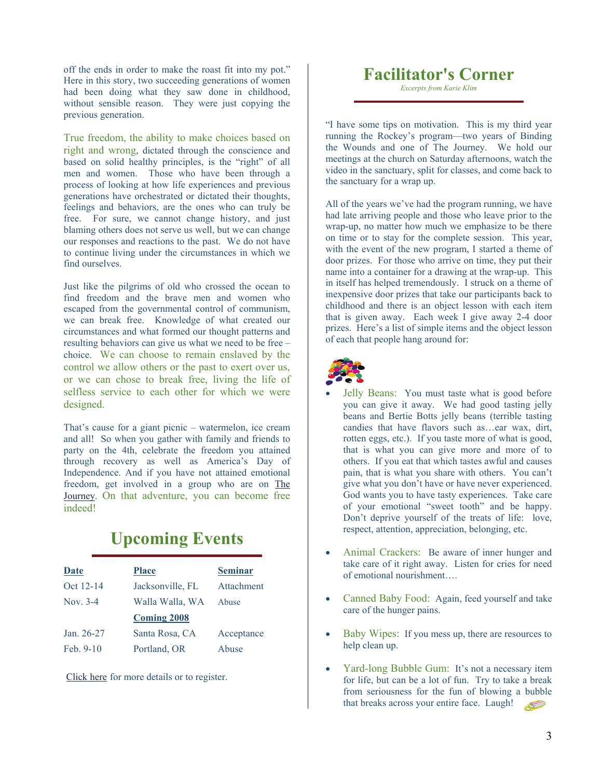off the ends in order to make the roast fit into my pot." Here in this story, two succeeding generations of women had been doing what they saw done in childhood, without sensible reason. They were just copying the previous generation.

True freedom, the ability to make choices based on right and wrong, dictated through the conscience and based on solid healthy principles, is the "right" of all men and women. Those who have been through a process of looking at how life experiences and previous generations have orchestrated or dictated their thoughts, feelings and behaviors, are the ones who can truly be free. For sure, we cannot change history, and just blaming others does not serve us well, but we can change our responses and reactions to the past. We do not have to continue living under the circumstances in which we find ourselves.

Just like the pilgrims of old who crossed the ocean to find freedom and the brave men and women who escaped from the governmental control of communism, we can break free. Knowledge of what created our circumstances and what formed our thought patterns and resulting behaviors can give us what we need to be free – choice. We can choose to remain enslaved by the control we allow others or the past to exert over us, or we can chose to break free, living the life of selfless service to each other for which we were designed.

That's cause for a giant picnic – watermelon, ice cream and all! So when you gather with family and friends to party on the 4th, celebrate the freedom you attained through recovery as well as America's Day of Independence. And if you have not attained emotional freedom, get involved in a group who are on The Journey. On that adventure, you can become free indeed!

# **Upcoming Events**

| Date        | <b>Place</b>       | <b>Seminar</b> |
|-------------|--------------------|----------------|
| Oct 12-14   | Jacksonville, FL   | Attachment     |
| Nov. $3-4$  | Walla Walla, WA    | Abuse          |
|             | <b>Coming 2008</b> |                |
| Jan. 26-27  | Santa Rosa, CA     | Acceptance     |
| Feb. $9-10$ | Portland, OR       | Abuse          |

Click here for more details or to register.

#### **Facilitator's Corner**

*Excerpts from Karie Klim* 

"I have some tips on motivation. This is my third year running the Rockey's program—two years of Binding the Wounds and one of The Journey. We hold our meetings at the church on Saturday afternoons, watch the video in the sanctuary, split for classes, and come back to the sanctuary for a wrap up.

All of the years we've had the program running, we have had late arriving people and those who leave prior to the wrap-up, no matter how much we emphasize to be there on time or to stay for the complete session. This year, with the event of the new program, I started a theme of door prizes. For those who arrive on time, they put their name into a container for a drawing at the wrap-up. This in itself has helped tremendously. I struck on a theme of inexpensive door prizes that take our participants back to childhood and there is an object lesson with each item that is given away. Each week I give away 2-4 door prizes. Here's a list of simple items and the object lesson of each that people hang around for:



- Jelly Beans: You must taste what is good before you can give it away. We had good tasting jelly beans and Bertie Botts jelly beans (terrible tasting candies that have flavors such as…ear wax, dirt, rotten eggs, etc.). If you taste more of what is good, that is what you can give more and more of to others. If you eat that which tastes awful and causes pain, that is what you share with others. You can't give what you don't have or have never experienced. God wants you to have tasty experiences. Take care of your emotional "sweet tooth" and be happy. Don't deprive yourself of the treats of life: love, respect, attention, appreciation, belonging, etc.
- Animal Crackers: Be aware of inner hunger and take care of it right away. Listen for cries for need of emotional nourishment….
- Canned Baby Food: Again, feed yourself and take care of the hunger pains.
- Baby Wipes: If you mess up, there are resources to help clean up.
- Yard-long Bubble Gum: It's not a necessary item for life, but can be a lot of fun. Try to take a break from seriousness for the fun of blowing a bubble that breaks across your entire face. Laugh!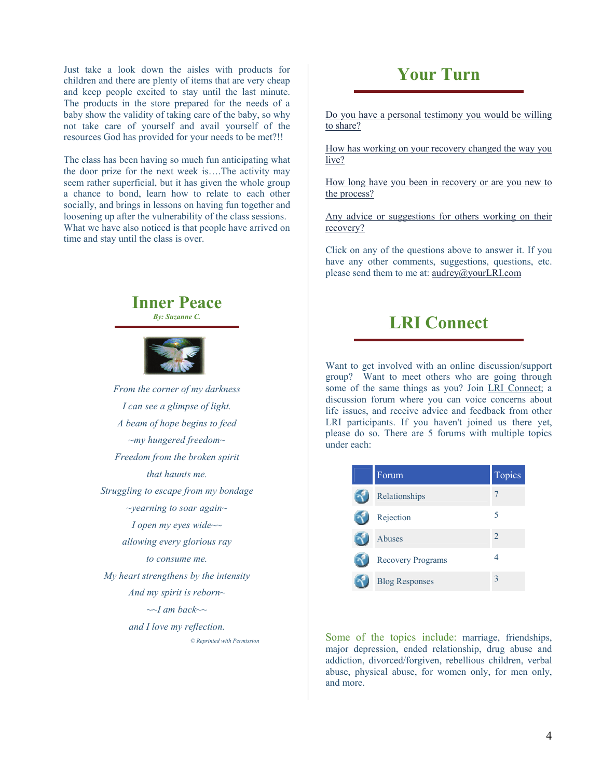Just take a look down the aisles with products for children and there are plenty of items that are very cheap and keep people excited to stay until the last minute. The products in the store prepared for the needs of a baby show the validity of taking care of the baby, so why not take care of yourself and avail yourself of the resources God has provided for your needs to be met?!!

The class has been having so much fun anticipating what the door prize for the next week is….The activity may seem rather superficial, but it has given the whole group a chance to bond, learn how to relate to each other socially, and brings in lessons on having fun together and loosening up after the vulnerability of the class sessions. What we have also noticed is that people have arrived on time and stay until the class is over.



*I can see a glimpse of light. A beam of hope begins to feed ~my hungered freedom~ Freedom from the broken spirit that haunts me. Struggling to escape from my bondage ~yearning to soar again~ I open my eyes wide~~ allowing every glorious ray to consume me. My heart strengthens by the intensity And my spirit is reborn~ ~~I am back~~ and I love my reflection. © Reprinted with Permission* 

# **Your Turn**

Do you have a personal testimony you would be willing to share?

How has working on your recovery changed the way you live?

How long have you been in recovery or are you new to the process?

Any advice or suggestions for others working on their recovery?

Click on any of the questions above to answer it. If you have any other comments, suggestions, questions, etc. please send them to me at: audrey@yourLRI.com

## **LRI Connect**

Want to get involved with an online discussion/support group? Want to meet others who are going through some of the same things as you? Join LRI Connect; a discussion forum where you can voice concerns about life issues, and receive advice and feedback from other LRI participants. If you haven't joined us there yet, please do so. There are 5 forums with multiple topics under each:

| Forum                    | Topics         |
|--------------------------|----------------|
| Relationships            | 7              |
| Rejection                | 5              |
| Abuses                   | $\overline{2}$ |
| <b>Recovery Programs</b> | 4              |
| <b>Blog Responses</b>    | 3              |

Some of the topics include: marriage, friendships, major depression, ended relationship, drug abuse and addiction, divorced/forgiven, rebellious children, verbal abuse, physical abuse, for women only, for men only, and more.